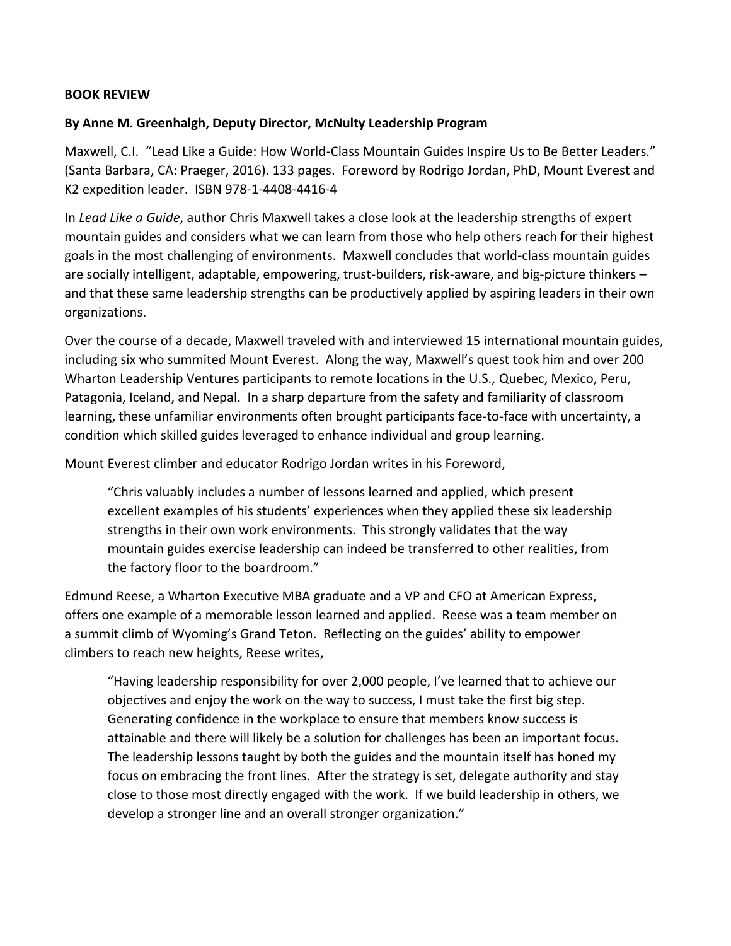## **BOOK REVIEW**

## **By Anne M. Greenhalgh, Deputy Director, McNulty Leadership Program**

Maxwell, C.I. "Lead Like a Guide: How World-Class Mountain Guides Inspire Us to Be Better Leaders." (Santa Barbara, CA: Praeger, 2016). 133 pages. Foreword by Rodrigo Jordan, PhD, Mount Everest and K2 expedition leader. ISBN 978-1-4408-4416-4

In *Lead Like a Guide*, author Chris Maxwell takes a close look at the leadership strengths of expert mountain guides and considers what we can learn from those who help others reach for their highest goals in the most challenging of environments. Maxwell concludes that world-class mountain guides are socially intelligent, adaptable, empowering, trust-builders, risk-aware, and big-picture thinkers – and that these same leadership strengths can be productively applied by aspiring leaders in their own organizations.

Over the course of a decade, Maxwell traveled with and interviewed 15 international mountain guides, including six who summited Mount Everest. Along the way, Maxwell's quest took him and over 200 Wharton Leadership Ventures participants to remote locations in the U.S., Quebec, Mexico, Peru, Patagonia, Iceland, and Nepal. In a sharp departure from the safety and familiarity of classroom learning, these unfamiliar environments often brought participants face-to-face with uncertainty, a condition which skilled guides leveraged to enhance individual and group learning.

Mount Everest climber and educator Rodrigo Jordan writes in his Foreword,

"Chris valuably includes a number of lessons learned and applied, which present excellent examples of his students' experiences when they applied these six leadership strengths in their own work environments. This strongly validates that the way mountain guides exercise leadership can indeed be transferred to other realities, from the factory floor to the boardroom."

Edmund Reese, a Wharton Executive MBA graduate and a VP and CFO at American Express, offers one example of a memorable lesson learned and applied. Reese was a team member on a summit climb of Wyoming's Grand Teton. Reflecting on the guides' ability to empower climbers to reach new heights, Reese writes,

"Having leadership responsibility for over 2,000 people, I've learned that to achieve our objectives and enjoy the work on the way to success, I must take the first big step. Generating confidence in the workplace to ensure that members know success is attainable and there will likely be a solution for challenges has been an important focus. The leadership lessons taught by both the guides and the mountain itself has honed my focus on embracing the front lines. After the strategy is set, delegate authority and stay close to those most directly engaged with the work. If we build leadership in others, we develop a stronger line and an overall stronger organization."